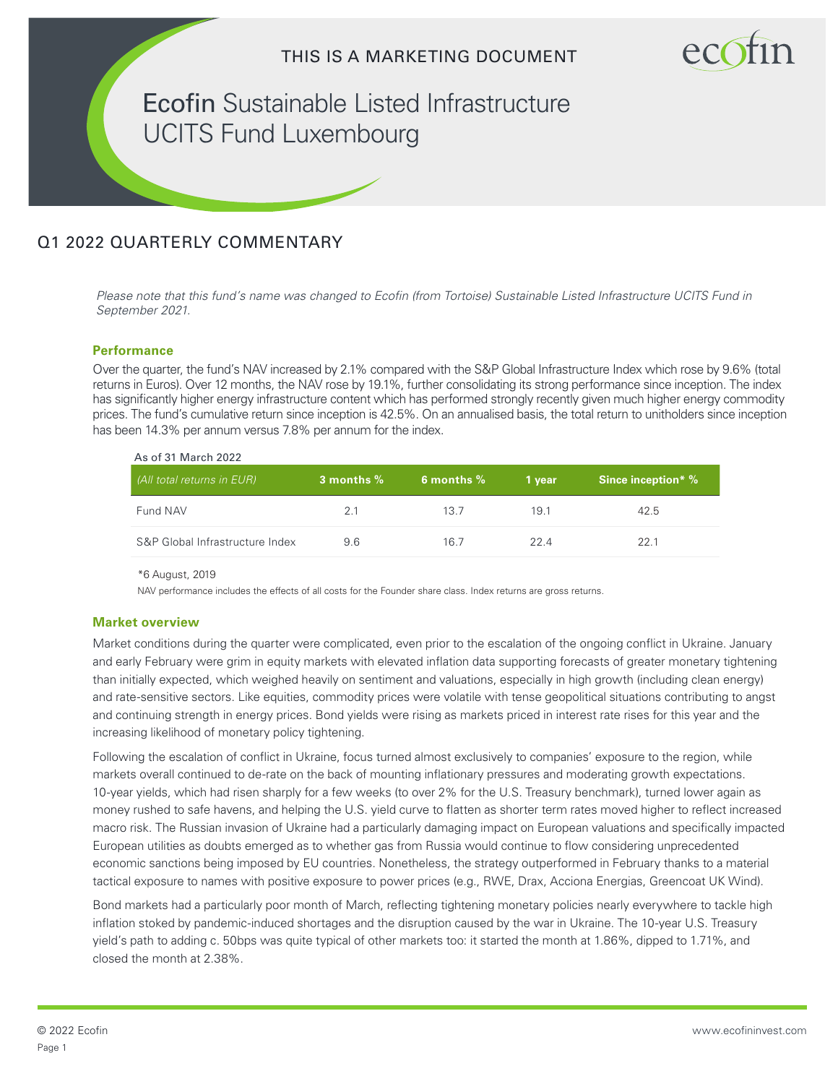

Ecofin Sustainable Listed Infrastructure UCITS Fund Luxembourg

# Q1 2022 QUARTERLY COMMENTARY

Please note that this fund's name was changed to Ecofin (from Tortoise) Sustainable Listed Infrastructure UCITS Fund in *September 2021.*

# **Performance**

Over the quarter, the fund's NAV increased by 2.1% compared with the S&P Global Infrastructure Index which rose by 9.6% (total returns in Euros). Over 12 months, the NAV rose by 19.1%, further consolidating its strong performance since inception. The index has significantly higher energy infrastructure content which has performed strongly recently given much higher energy commodity prices. The fund's cumulative return since inception is 42.5%. On an annualised basis, the total return to unitholders since inception has been 14.3% per annum versus 7.8% per annum for the index.

| (All total returns in EUR)      | 3 months $%$ | 6 months $%$ | 1 vear | <b>Since inception*</b> % |
|---------------------------------|--------------|--------------|--------|---------------------------|
| Fund NAV                        | 2.1          | 13.7         | 19.1   | 42.5                      |
| S&P Global Infrastructure Index | 9.6          | 16.7         | 224    | 22.1                      |

\*6 August, 2019

NAV performance includes the effects of all costs for the Founder share class. Index returns are gross returns.

#### **Market overview**

Market conditions during the quarter were complicated, even prior to the escalation of the ongoing conflict in Ukraine. January and early February were grim in equity markets with elevated inflation data supporting forecasts of greater monetary tightening than initially expected, which weighed heavily on sentiment and valuations, especially in high growth (including clean energy) and rate-sensitive sectors. Like equities, commodity prices were volatile with tense geopolitical situations contributing to angst and continuing strength in energy prices. Bond yields were rising as markets priced in interest rate rises for this year and the increasing likelihood of monetary policy tightening.

Following the escalation of conflict in Ukraine, focus turned almost exclusively to companies' exposure to the region, while markets overall continued to de-rate on the back of mounting inflationary pressures and moderating growth expectations. 10-year yields, which had risen sharply for a few weeks (to over 2% for the U.S. Treasury benchmark), turned lower again as money rushed to safe havens, and helping the U.S. yield curve to flatten as shorter term rates moved higher to reflect increased macro risk. The Russian invasion of Ukraine had a particularly damaging impact on European valuations and specifically impacted European utilities as doubts emerged as to whether gas from Russia would continue to flow considering unprecedented economic sanctions being imposed by EU countries. Nonetheless, the strategy outperformed in February thanks to a material tactical exposure to names with positive exposure to power prices (e.g., RWE, Drax, Acciona Energias, Greencoat UK Wind).

Bond markets had a particularly poor month of March, reflecting tightening monetary policies nearly everywhere to tackle high inflation stoked by pandemic-induced shortages and the disruption caused by the war in Ukraine. The 10-year U.S. Treasury yield's path to adding c. 50bps was quite typical of other markets too: it started the month at 1.86%, dipped to 1.71%, and closed the month at 2.38%.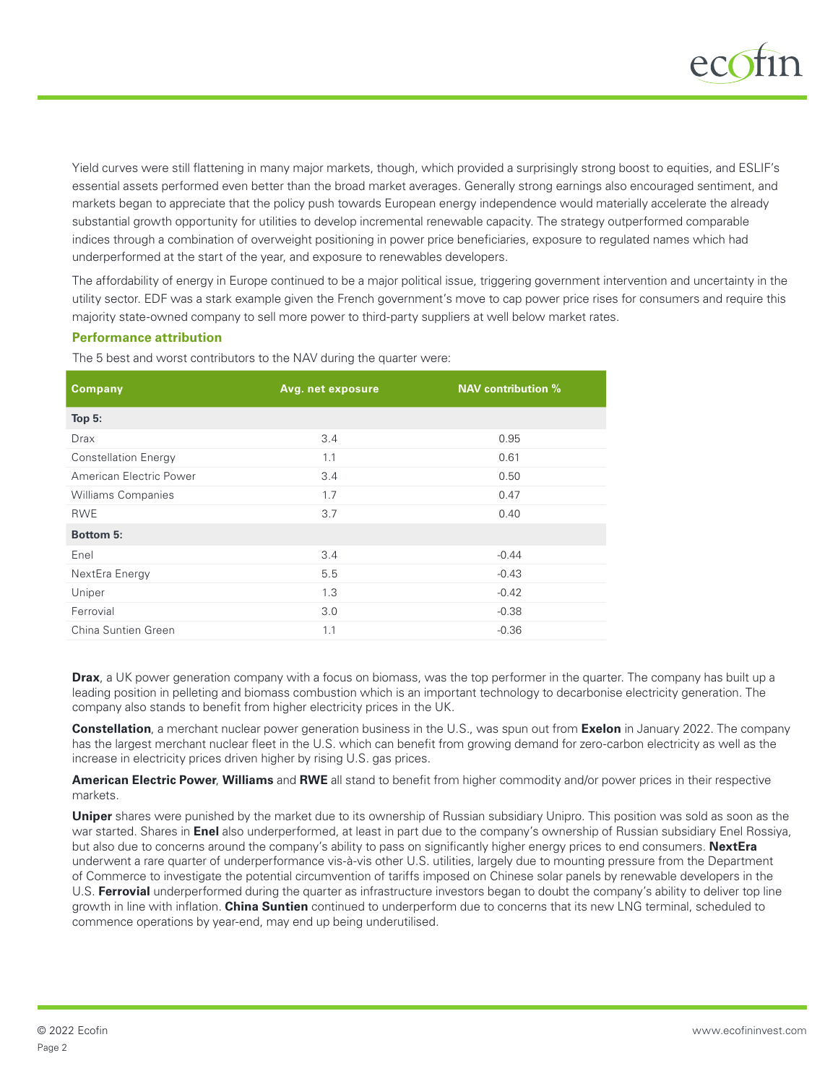

Yield curves were still flattening in many major markets, though, which provided a surprisingly strong boost to equities, and ESLIF's essential assets performed even better than the broad market averages. Generally strong earnings also encouraged sentiment, and markets began to appreciate that the policy push towards European energy independence would materially accelerate the already substantial growth opportunity for utilities to develop incremental renewable capacity. The strategy outperformed comparable indices through a combination of overweight positioning in power price beneficiaries, exposure to regulated names which had underperformed at the start of the year, and exposure to renewables developers.

The affordability of energy in Europe continued to be a major political issue, triggering government intervention and uncertainty in the utility sector. EDF was a stark example given the French government's move to cap power price rises for consumers and require this majority state-owned company to sell more power to third-party suppliers at well below market rates.

#### **Performance attribution**

The 5 best and worst contributors to the NAV during the quarter were:

| Avg. net exposure | <b>NAV</b> contribution % |  |
|-------------------|---------------------------|--|
|                   |                           |  |
| 3.4               | 0.95                      |  |
| 1.1               | 0.61                      |  |
| 3.4               | 0.50                      |  |
| 1.7               | 0.47                      |  |
| 3.7               | 0.40                      |  |
|                   |                           |  |
| 3.4               | $-0.44$                   |  |
| 5.5               | $-0.43$                   |  |
| 1.3               | $-0.42$                   |  |
| 3.0               | $-0.38$                   |  |
| 1.1               | $-0.36$                   |  |
|                   |                           |  |

**Drax**, a UK power generation company with a focus on biomass, was the top performer in the quarter. The company has built up a leading position in pelleting and biomass combustion which is an important technology to decarbonise electricity generation. The company also stands to benefit from higher electricity prices in the UK.

**Constellation**, a merchant nuclear power generation business in the U.S., was spun out from **Exelon** in January 2022. The company has the largest merchant nuclear fleet in the U.S. which can benefit from growing demand for zero-carbon electricity as well as the increase in electricity prices driven higher by rising U.S. gas prices.

**American Electric Power**, **Williams** and **RWE** all stand to benefit from higher commodity and/or power prices in their respective markets.

**Uniper** shares were punished by the market due to its ownership of Russian subsidiary Unipro. This position was sold as soon as the war started. Shares in **Enel** also underperformed, at least in part due to the company's ownership of Russian subsidiary Enel Rossiya, but also due to concerns around the company's ability to pass on significantly higher energy prices to end consumers. **NextEra** underwent a rare quarter of underperformance vis-à-vis other U.S. utilities, largely due to mounting pressure from the Department of Commerce to investigate the potential circumvention of tariffs imposed on Chinese solar panels by renewable developers in the U.S. **Ferrovial** underperformed during the quarter as infrastructure investors began to doubt the company's ability to deliver top line growth in line with inflation. **China Suntien** continued to underperform due to concerns that its new LNG terminal, scheduled to commence operations by year-end, may end up being underutilised.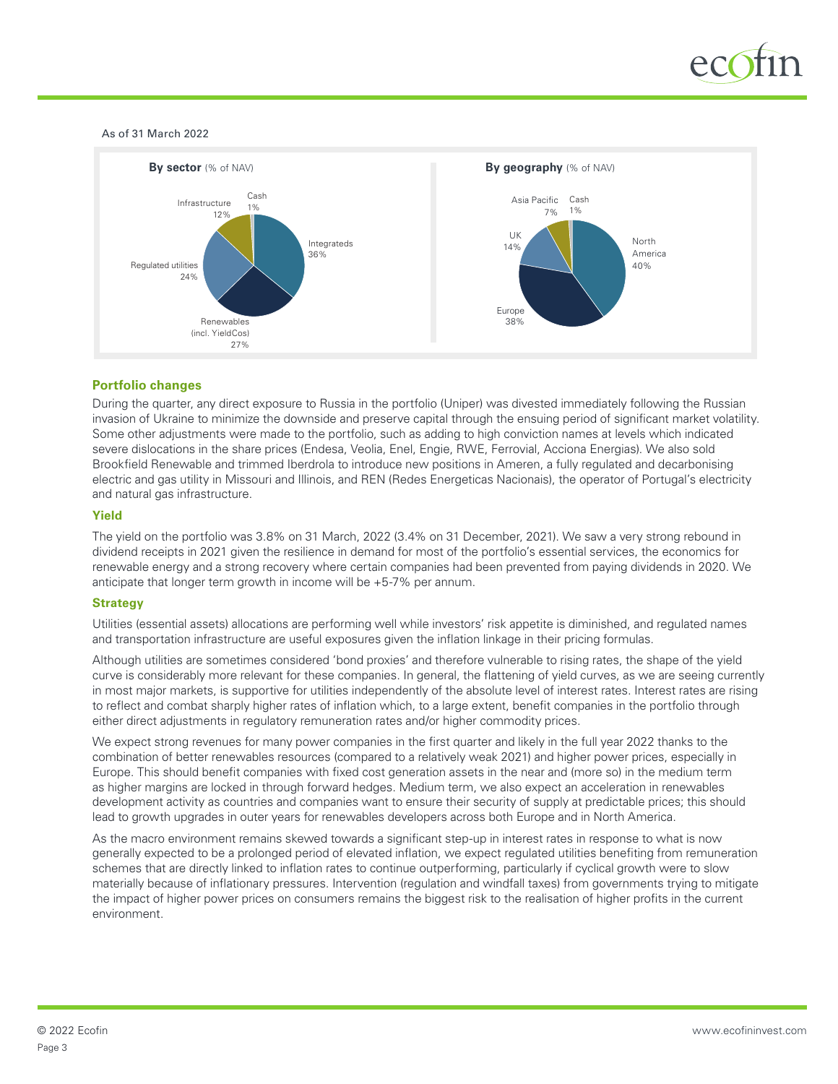

As of 31 March 2022



# **Portfolio changes**

During the quarter, any direct exposure to Russia in the portfolio (Uniper) was divested immediately following the Russian invasion of Ukraine to minimize the downside and preserve capital through the ensuing period of significant market volatility. Some other adjustments were made to the portfolio, such as adding to high conviction names at levels which indicated severe dislocations in the share prices (Endesa, Veolia, Enel, Engie, RWE, Ferrovial, Acciona Energias). We also sold Brookfield Renewable and trimmed Iberdrola to introduce new positions in Ameren, a fully regulated and decarbonising electric and gas utility in Missouri and Illinois, and REN (Redes Energeticas Nacionais), the operator of Portugal's electricity and natural gas infrastructure.

#### **Yield**

The yield on the portfolio was 3.8% on 31 March, 2022 (3.4% on 31 December, 2021). We saw a very strong rebound in dividend receipts in 2021 given the resilience in demand for most of the portfolio's essential services, the economics for renewable energy and a strong recovery where certain companies had been prevented from paying dividends in 2020. We anticipate that longer term growth in income will be +5-7% per annum.

# **Strategy**

Utilities (essential assets) allocations are performing well while investors' risk appetite is diminished, and regulated names and transportation infrastructure are useful exposures given the inflation linkage in their pricing formulas.

Although utilities are sometimes considered 'bond proxies' and therefore vulnerable to rising rates, the shape of the yield curve is considerably more relevant for these companies. In general, the flattening of yield curves, as we are seeing currently in most major markets, is supportive for utilities independently of the absolute level of interest rates. Interest rates are rising to reflect and combat sharply higher rates of inflation which, to a large extent, benefit companies in the portfolio through either direct adjustments in regulatory remuneration rates and/or higher commodity prices.

We expect strong revenues for many power companies in the first quarter and likely in the full year 2022 thanks to the combination of better renewables resources (compared to a relatively weak 2021) and higher power prices, especially in Europe. This should benefit companies with fixed cost generation assets in the near and (more so) in the medium term as higher margins are locked in through forward hedges. Medium term, we also expect an acceleration in renewables development activity as countries and companies want to ensure their security of supply at predictable prices; this should lead to growth upgrades in outer years for renewables developers across both Europe and in North America.

As the macro environment remains skewed towards a significant step-up in interest rates in response to what is now generally expected to be a prolonged period of elevated inflation, we expect regulated utilities benefiting from remuneration schemes that are directly linked to inflation rates to continue outperforming, particularly if cyclical growth were to slow materially because of inflationary pressures. Intervention (regulation and windfall taxes) from governments trying to mitigate the impact of higher power prices on consumers remains the biggest risk to the realisation of higher profits in the current environment.